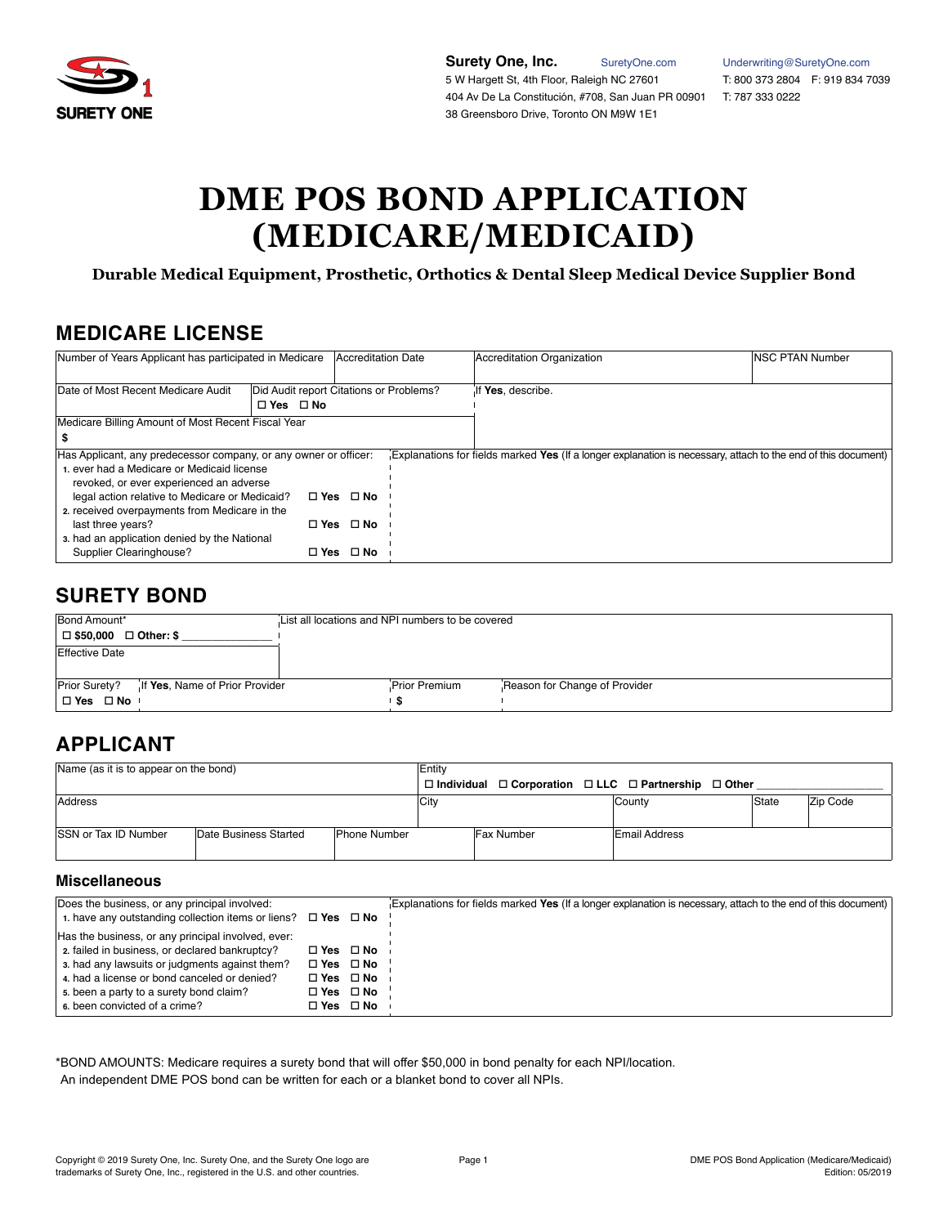

**Surety One, Inc.** [SuretyOne.com](https://suretyone.com) [Underwriting@SuretyOne.com](mailto:Underwriting%40SuretyOne.com?subject=)<br>
5 W Hargett St, 4th Floor, Raleigh NC 27601 T: 800 373 2804 F: 919 834 7039 5 W Hargett St, 4th Floor, Raleigh NC 27601 404 Av De La Constitución, #708, San Juan PR 00901 T: 787 333 0222 38 Greensboro Drive, Toronto ON M9W 1E1

# **DME POS BOND APPLICATION (MEDICARE/MEDICAID)**

**Durable Medical Equipment, Prosthetic, Orthotics & Dental Sleep Medical Device Supplier Bond**

### **MEDICARE LICENSE**

| Number of Years Applicant has participated in Medicare                                                                                                                                                                                                                                                                                                                  |                                                                 | Accreditation Date   |  | Accreditation Organization                                                                                    | <b>INSC PTAN Number</b> |
|-------------------------------------------------------------------------------------------------------------------------------------------------------------------------------------------------------------------------------------------------------------------------------------------------------------------------------------------------------------------------|-----------------------------------------------------------------|----------------------|--|---------------------------------------------------------------------------------------------------------------|-------------------------|
| Date of Most Recent Medicare Audit                                                                                                                                                                                                                                                                                                                                      | Did Audit report Citations or Problems?<br>$\Box$ Yes $\Box$ No |                      |  | If Yes, describe.                                                                                             |                         |
| Medicare Billing Amount of Most Recent Fiscal Year                                                                                                                                                                                                                                                                                                                      |                                                                 |                      |  |                                                                                                               |                         |
|                                                                                                                                                                                                                                                                                                                                                                         |                                                                 |                      |  |                                                                                                               |                         |
| Has Applicant, any predecessor company, or any owner or officer:<br>1. ever had a Medicare or Medicaid license<br>revoked, or ever experienced an adverse<br>legal action relative to Medicare or Medicaid?<br>□ Yes □ No<br>2. received overpayments from Medicare in the<br>$\Box$ Yes $\Box$ No<br>last three years?<br>3. had an application denied by the National |                                                                 |                      |  | Explanations for fields marked Yes (If a longer explanation is necessary, attach to the end of this document) |                         |
| Supplier Clearinghouse?                                                                                                                                                                                                                                                                                                                                                 |                                                                 | $\Box$ Yes $\Box$ No |  |                                                                                                               |                         |

## **SURETY BOND**

| Bond Amount*                                    | List all locations and NPI numbers to be covered |               |                               |
|-------------------------------------------------|--------------------------------------------------|---------------|-------------------------------|
| $\Box$ \$50,000 $\Box$ Other: \$                |                                                  |               |                               |
| Effective Date                                  |                                                  |               |                               |
|                                                 |                                                  |               |                               |
| Prior Surety?<br>If Yes, Name of Prior Provider |                                                  | Prior Premium | Reason for Change of Provider |
| □Yes □No                                        |                                                  |               |                               |

# **APPLICANT**

| Name (as it is to appear on the bond)                                       |  |  | <b>Entity</b> |                   |  |                                                                                 |       |          |
|-----------------------------------------------------------------------------|--|--|---------------|-------------------|--|---------------------------------------------------------------------------------|-------|----------|
|                                                                             |  |  |               |                   |  | $\Box$ Individual $\Box$ Corporation $\Box$ LLC $\Box$ Partnership $\Box$ Other |       |          |
| Address                                                                     |  |  | City          |                   |  | County                                                                          | State | Zip Code |
|                                                                             |  |  |               |                   |  |                                                                                 |       |          |
| <b>SSN or Tax ID Number</b><br>Date Business Started<br><b>Phone Number</b> |  |  |               | <b>Fax Number</b> |  | <b>Email Address</b>                                                            |       |          |
|                                                                             |  |  |               |                   |  |                                                                                 |       |          |

#### **Miscellaneous**

| Does the business, or any principal involved:<br>1. have any outstanding collection items or liens? $\Box$ Yes $\Box$ No |                      |                      | Explanations for fields marked Yes (If a longer explanation is necessary, attach to the end of this document) |
|--------------------------------------------------------------------------------------------------------------------------|----------------------|----------------------|---------------------------------------------------------------------------------------------------------------|
| Has the business, or any principal involved, ever:                                                                       |                      |                      |                                                                                                               |
| 2. failed in business, or declared bankruptcy?                                                                           | □ Yes □ No           |                      |                                                                                                               |
| 3. had any lawsuits or judgments against them?                                                                           | □ Yes □ No           |                      |                                                                                                               |
| 4. had a license or bond canceled or denied?                                                                             | $\Box$ Yes $\Box$ No |                      |                                                                                                               |
| 5. been a party to a surety bond claim?                                                                                  | $\Box$ Yes $\Box$ No |                      |                                                                                                               |
| 6. been convicted of a crime?                                                                                            |                      | $\Box$ Yes $\Box$ No |                                                                                                               |

#### \*BOND AMOUNTS: Medicare requires a surety bond that will offer \$50,000 in bond penalty for each NPI/location. An independent DME POS bond can be written for each or a blanket bond to cover all NPIs.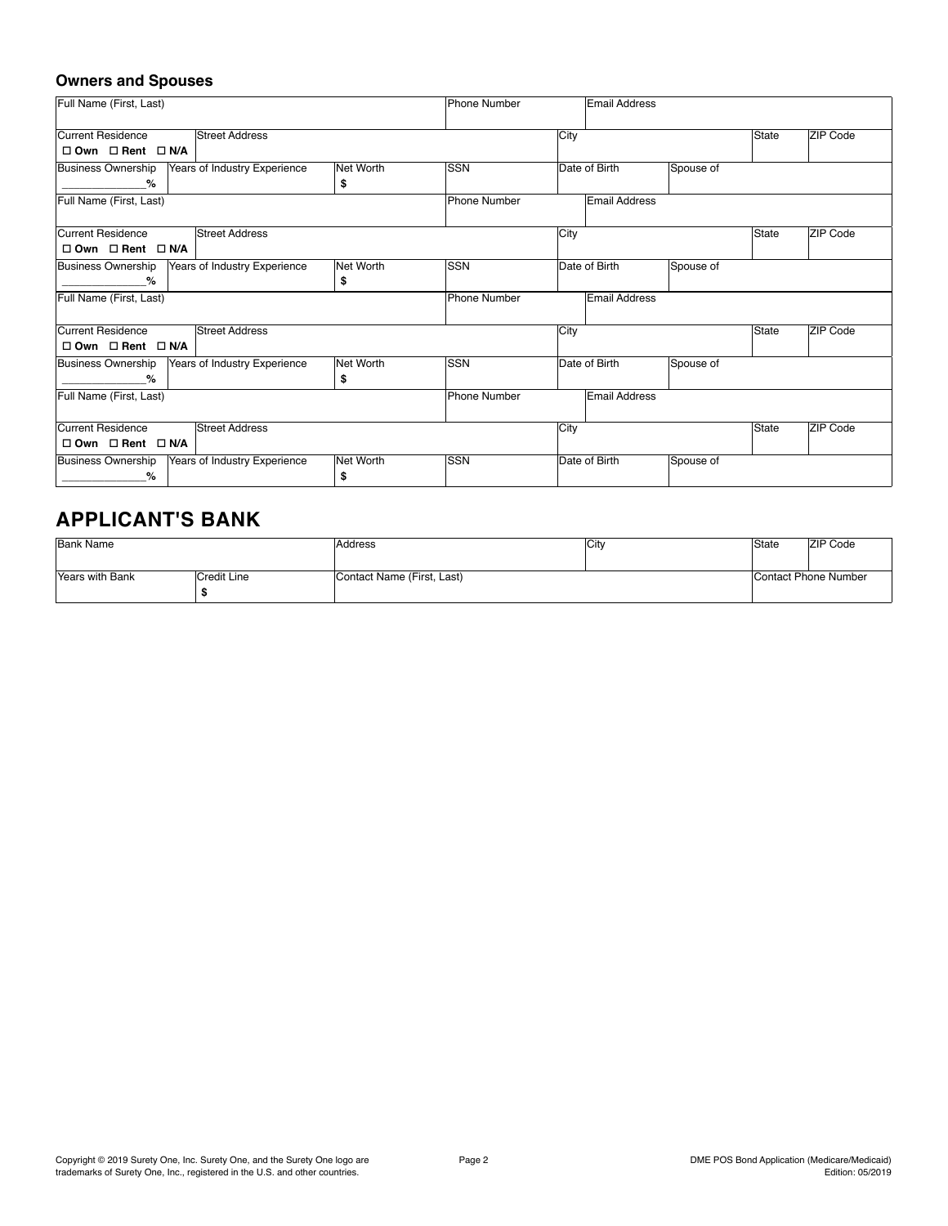### **Owners and Spouses**

| Full Name (First, Last)                                   |           | Phone Number |      | <b>Email Address</b> |           |       |                 |
|-----------------------------------------------------------|-----------|--------------|------|----------------------|-----------|-------|-----------------|
| <b>Street Address</b><br>Current Residence                |           |              | City |                      |           | State | ZIP Code        |
| $\square$ Own $\square$ Rent $\square$ N/A                |           |              |      |                      |           |       |                 |
| Business Ownership<br>Years of Industry Experience        | Net Worth | <b>SSN</b>   |      | Date of Birth        | Spouse of |       |                 |
| %                                                         | \$        |              |      |                      |           |       |                 |
| Full Name (First, Last)                                   |           | Phone Number |      | <b>Email Address</b> |           |       |                 |
|                                                           |           |              |      |                      |           |       |                 |
| Current Residence<br><b>Street Address</b>                |           |              | City |                      |           | State | ZIP Code        |
| $\Box$ Own $\Box$ Rent $\Box$ N/A                         |           |              |      |                      |           |       |                 |
| <b>Business Ownership</b><br>Years of Industry Experience | Net Worth | <b>SSN</b>   |      | Date of Birth        | Spouse of |       |                 |
| %                                                         | \$        |              |      |                      |           |       |                 |
| Full Name (First, Last)                                   |           | Phone Number |      | <b>Email Address</b> |           |       |                 |
|                                                           |           |              |      |                      |           |       |                 |
| Current Residence<br><b>Street Address</b>                |           |              | City |                      |           | State | ZIP Code        |
| $\square$ Own $\square$ Rent $\square$ N/A                |           |              |      |                      |           |       |                 |
| <b>Business Ownership</b><br>Years of Industry Experience | Net Worth | <b>SSN</b>   |      | Date of Birth        | Spouse of |       |                 |
| %                                                         | \$        |              |      |                      |           |       |                 |
| Full Name (First, Last)                                   |           | Phone Number |      | Email Address        |           |       |                 |
|                                                           |           |              |      |                      |           |       |                 |
| <b>Street Address</b><br>Current Residence                |           |              | City |                      |           | State | <b>ZIP Code</b> |
| $\square$ Own $\square$ Rent $\square$ N/A                |           |              |      |                      |           |       |                 |
| <b>Business Ownership</b><br>Years of Industry Experience | Net Worth | <b>SSN</b>   |      | Date of Birth        | Spouse of |       |                 |
| %                                                         | \$        |              |      |                      |           |       |                 |

## **APPLICANT'S BANK**

| Bank Name                      |  | Address                    | City | State | <b>ZIP Code</b>      |  |
|--------------------------------|--|----------------------------|------|-------|----------------------|--|
|                                |  |                            |      |       |                      |  |
| Credit Line<br>Years with Bank |  | Contact Name (First, Last) |      |       | Contact Phone Number |  |
|                                |  |                            |      |       |                      |  |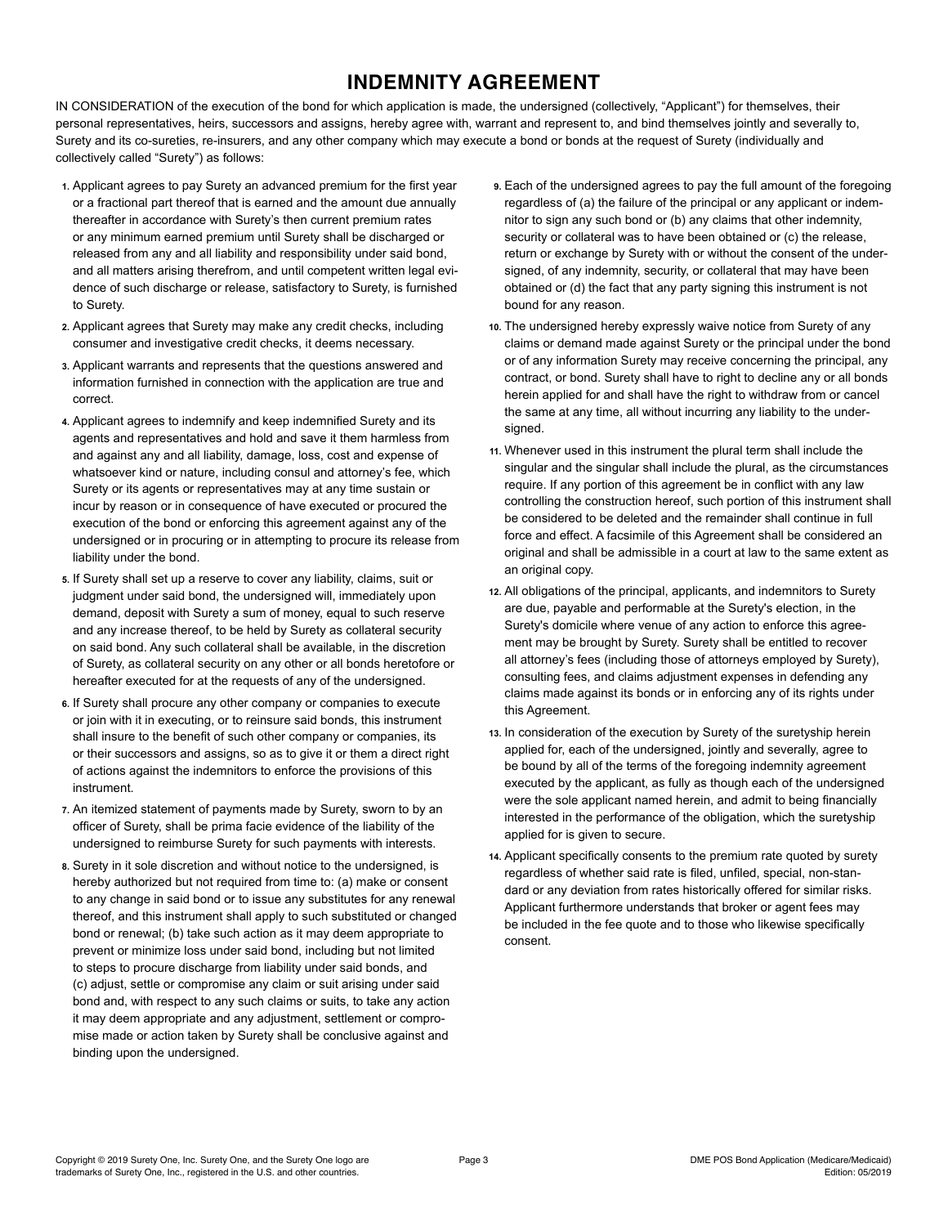# **INDEMNITY AGREEMENT**

IN CONSIDERATION of the execution of the bond for which application is made, the undersigned (collectively, "Applicant") for themselves, their personal representatives, heirs, successors and assigns, hereby agree with, warrant and represent to, and bind themselves jointly and severally to, Surety and its co-sureties, re-insurers, and any other company which may execute a bond or bonds at the request of Surety (individually and collectively called "Surety") as follows:

- **1.** Applicant agrees to pay Surety an advanced premium for the first year or a fractional part thereof that is earned and the amount due annually thereafter in accordance with Surety's then current premium rates or any minimum earned premium until Surety shall be discharged or released from any and all liability and responsibility under said bond, and all matters arising therefrom, and until competent written legal evidence of such discharge or release, satisfactory to Surety, is furnished to Surety.
- **2.** Applicant agrees that Surety may make any credit checks, including consumer and investigative credit checks, it deems necessary.
- **3.** Applicant warrants and represents that the questions answered and information furnished in connection with the application are true and correct.
- **4.** Applicant agrees to indemnify and keep indemnified Surety and its agents and representatives and hold and save it them harmless from and against any and all liability, damage, loss, cost and expense of whatsoever kind or nature, including consul and attorney's fee, which Surety or its agents or representatives may at any time sustain or incur by reason or in consequence of have executed or procured the execution of the bond or enforcing this agreement against any of the undersigned or in procuring or in attempting to procure its release from liability under the bond.
- **5.** If Surety shall set up a reserve to cover any liability, claims, suit or judgment under said bond, the undersigned will, immediately upon demand, deposit with Surety a sum of money, equal to such reserve and any increase thereof, to be held by Surety as collateral security on said bond. Any such collateral shall be available, in the discretion of Surety, as collateral security on any other or all bonds heretofore or hereafter executed for at the requests of any of the undersigned.
- **6.** If Surety shall procure any other company or companies to execute or join with it in executing, or to reinsure said bonds, this instrument shall insure to the benefit of such other company or companies, its or their successors and assigns, so as to give it or them a direct right of actions against the indemnitors to enforce the provisions of this instrument.
- **7.** An itemized statement of payments made by Surety, sworn to by an officer of Surety, shall be prima facie evidence of the liability of the undersigned to reimburse Surety for such payments with interests.
- **8.** Surety in it sole discretion and without notice to the undersigned, is hereby authorized but not required from time to: (a) make or consent to any change in said bond or to issue any substitutes for any renewal thereof, and this instrument shall apply to such substituted or changed bond or renewal; (b) take such action as it may deem appropriate to prevent or minimize loss under said bond, including but not limited to steps to procure discharge from liability under said bonds, and (c) adjust, settle or compromise any claim or suit arising under said bond and, with respect to any such claims or suits, to take any action it may deem appropriate and any adjustment, settlement or compromise made or action taken by Surety shall be conclusive against and binding upon the undersigned.
- **9.** Each of the undersigned agrees to pay the full amount of the foregoing regardless of (a) the failure of the principal or any applicant or indemnitor to sign any such bond or (b) any claims that other indemnity, security or collateral was to have been obtained or (c) the release, return or exchange by Surety with or without the consent of the undersigned, of any indemnity, security, or collateral that may have been obtained or (d) the fact that any party signing this instrument is not bound for any reason.
- **10.** The undersigned hereby expressly waive notice from Surety of any claims or demand made against Surety or the principal under the bond or of any information Surety may receive concerning the principal, any contract, or bond. Surety shall have to right to decline any or all bonds herein applied for and shall have the right to withdraw from or cancel the same at any time, all without incurring any liability to the undersigned.
- **11.** Whenever used in this instrument the plural term shall include the singular and the singular shall include the plural, as the circumstances require. If any portion of this agreement be in conflict with any law controlling the construction hereof, such portion of this instrument shall be considered to be deleted and the remainder shall continue in full force and effect. A facsimile of this Agreement shall be considered an original and shall be admissible in a court at law to the same extent as an original copy.
- **12.** All obligations of the principal, applicants, and indemnitors to Surety are due, payable and performable at the Surety's election, in the Surety's domicile where venue of any action to enforce this agreement may be brought by Surety. Surety shall be entitled to recover all attorney's fees (including those of attorneys employed by Surety), consulting fees, and claims adjustment expenses in defending any claims made against its bonds or in enforcing any of its rights under this Agreement.
- **13.** In consideration of the execution by Surety of the suretyship herein applied for, each of the undersigned, jointly and severally, agree to be bound by all of the terms of the foregoing indemnity agreement executed by the applicant, as fully as though each of the undersigned were the sole applicant named herein, and admit to being financially interested in the performance of the obligation, which the suretyship applied for is given to secure.
- **14.** Applicant specifically consents to the premium rate quoted by surety regardless of whether said rate is filed, unfiled, special, non-standard or any deviation from rates historically offered for similar risks. Applicant furthermore understands that broker or agent fees may be included in the fee quote and to those who likewise specifically consent.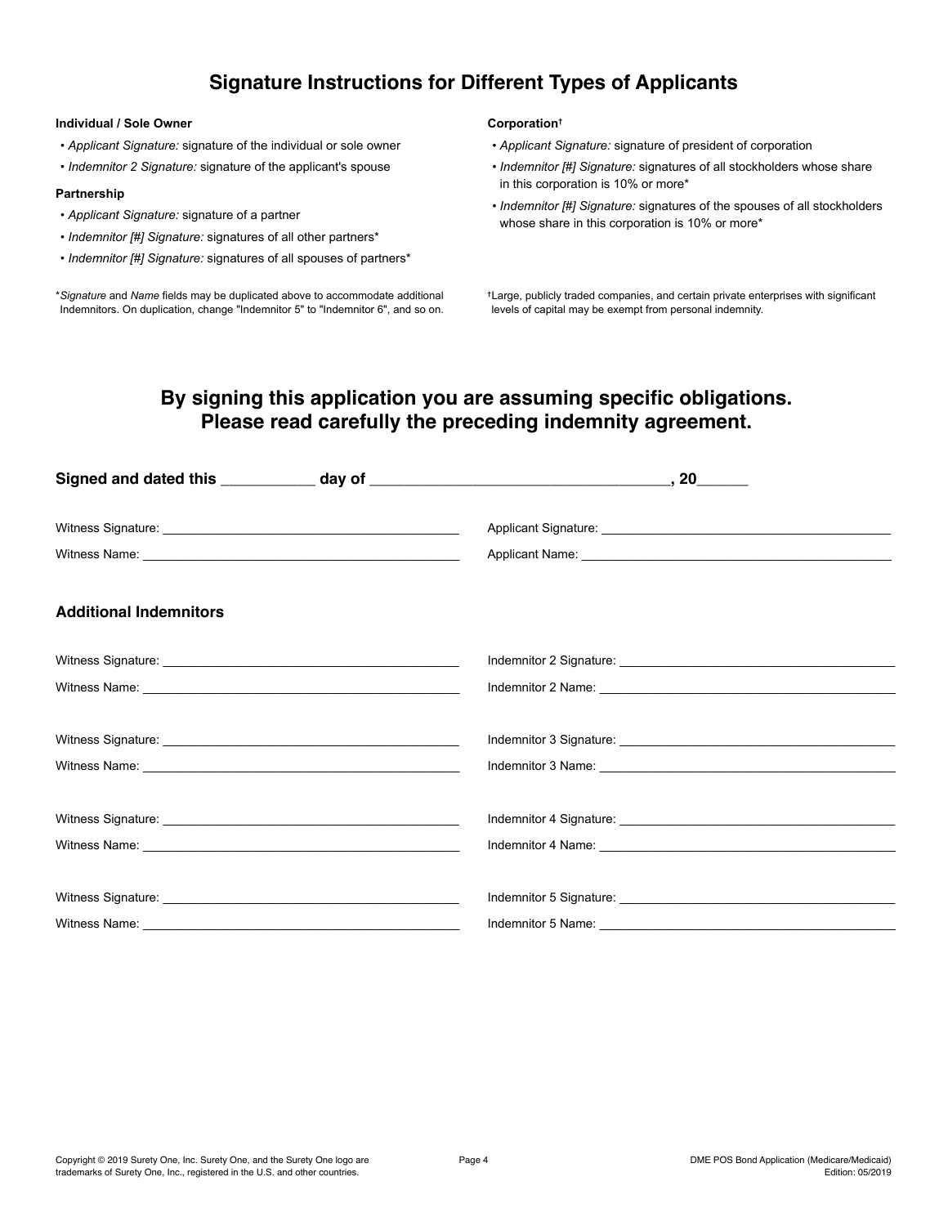### **Signature Instructions for Different Types of Applicants**

#### **Individual / Sole Owner**

- *Applicant Signature:* signature of the individual or sole owner
- *Indemnitor 2 Signature:* signature of the applicant's spouse

#### **Partnership**

- *Applicant Signature:* signature of a partner
- *Indemnitor [#] Signature:* signatures of all other partners\*
- *Indemnitor [#] Signature:* signatures of all spouses of partners\*

\**Signature* and *Name* fields may be duplicated above to accommodate additional Indemnitors. On duplication, change "Indemnitor 5" to "Indemnitor 6", and so on.

#### **Corporation†**

- *Applicant Signature:* signature of president of corporation
- *Indemnitor [#] Signature:* signatures of all stockholders whose share in this corporation is 10% or more\*
- *Indemnitor [#] Signature:* signatures of the spouses of all stockholders whose share in this corporation is 10% or more\*

**†**Large, publicly traded companies, and certain private enterprises with significant levels of capital may be exempt from personal indemnity.

### **By signing this application you are assuming specific obligations. Please read carefully the preceding indemnity agreement.**

| <b>Additional Indemnitors</b> |                                                                                                                                                                                                                                |
|-------------------------------|--------------------------------------------------------------------------------------------------------------------------------------------------------------------------------------------------------------------------------|
|                               |                                                                                                                                                                                                                                |
|                               |                                                                                                                                                                                                                                |
|                               |                                                                                                                                                                                                                                |
|                               |                                                                                                                                                                                                                                |
|                               |                                                                                                                                                                                                                                |
|                               | Indemnitor 4 Name: Name: Name: Name: Name: Name: Name: Name: Name: Name: Name: Name: Name: Name: Name: Name: Name: Name: Name: Name: Name: Name: Name: Name: Name: Name: Name: Name: Name: Name: Name: Name: Name: Name: Name: |
|                               |                                                                                                                                                                                                                                |
|                               |                                                                                                                                                                                                                                |